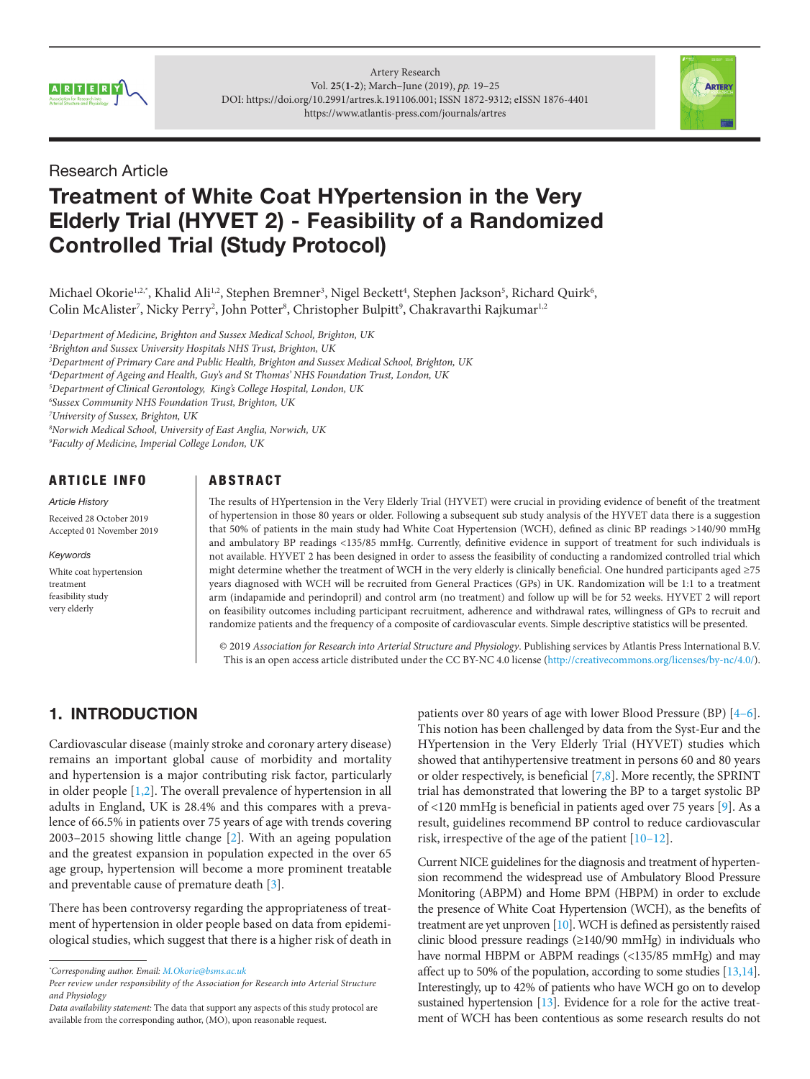



## Research Article

# Treatment of White Coat HYpertension in the Very Elderly Trial (HYVET 2) - Feasibility of a Randomized Controlled Trial (Study Protocol)

Michael Okorie1.2.\*, Khalid Ali<sup>1.2</sup>, Stephen Bremner<sup>3</sup>, Nigel Beckett<sup>4</sup>, Stephen Jackson<sup>5</sup>, Richard Quirk<sup>6</sup>, Colin McAlister<sup>7</sup>, Nicky Perry<sup>2</sup>, John Potter<sup>8</sup>, Christopher Bulpitt<sup>9</sup>, Chakravarthi Rajkumar<sup>1,2</sup>

 *Department of Medicine, Brighton and Sussex Medical School, Brighton, UK Brighton and Sussex University Hospitals NHS Trust, Brighton, UK Department of Primary Care and Public Health, Brighton and Sussex Medical School, Brighton, UK Department of Ageing and Health, Guy's and St Thomas' NHS Foundation Trust, London, UK Department of Clinical Gerontology, King's College Hospital, London, UK Sussex Community NHS Foundation Trust, Brighton, UK University of Sussex, Brighton, UK Norwich Medical School, University of East Anglia, Norwich, UK Faculty of Medicine, Imperial College London, UK*

ARTICLE INFO

White coat hypertension

*Article History* Received 28 October 2019 Accepted 01 November 2019

*Keywords*

treatment feasibility study very elderly

## ABSTRACT

The results of HYpertension in the Very Elderly Trial (HYVET) were crucial in providing evidence of benefit of the treatment of hypertension in those 80 years or older. Following a subsequent sub study analysis of the HYVET data there is a suggestion that 50% of patients in the main study had White Coat Hypertension (WCH), defined as clinic BP readings >140/90 mmHg and ambulatory BP readings <135/85 mmHg. Currently, definitive evidence in support of treatment for such individuals is not available. HYVET 2 has been designed in order to assess the feasibility of conducting a randomized controlled trial which might determine whether the treatment of WCH in the very elderly is clinically beneficial. One hundred participants aged ≥75 years diagnosed with WCH will be recruited from General Practices (GPs) in UK. Randomization will be 1:1 to a treatment arm (indapamide and perindopril) and control arm (no treatment) and follow up will be for 52 weeks. HYVET 2 will report on feasibility outcomes including participant recruitment, adherence and withdrawal rates, willingness of GPs to recruit and randomize patients and the frequency of a composite of cardiovascular events. Simple descriptive statistics will be presented.

© 2019 *Association for Research into Arterial Structure and Physiology*. Publishing services by Atlantis Press International B.V. This is an open access article distributed under the CC BY-NC 4.0 license ([http://creativecommons.org/licenses/by-nc/4.0/\)](http://creativecommons.org/licenses/by-nc/4.0/).

## 1. INTRODUCTION

Cardiovascular disease (mainly stroke and coronary artery disease) remains an important global cause of morbidity and mortality and hypertension is a major contributing risk factor, particularly in older people  $[1,2]$  $[1,2]$ . The overall prevalence of hypertension in all adults in England, UK is 28.4% and this compares with a prevalence of 66.5% in patients over 75 years of age with trends covering 2003–2015 showing little change [[2](#page-5-0)]. With an ageing population and the greatest expansion in population expected in the over 65 age group, hypertension will become a more prominent treatable and preventable cause of premature death [\[3\]](#page-5-0).

There has been controversy regarding the appropriateness of treatment of hypertension in older people based on data from epidemiological studies, which suggest that there is a higher risk of death in patients over 80 years of age with lower Blood Pressure (BP) [[4–6\]](#page-5-0). This notion has been challenged by data from the Syst-Eur and the HYpertension in the Very Elderly Trial (HYVET) studies which showed that antihypertensive treatment in persons 60 and 80 years or older respectively, is beneficial [\[7,](#page-5-0)[8](#page-6-0)]. More recently, the SPRINT trial has demonstrated that lowering the BP to a target systolic BP of <120 mmHg is beneficial in patients aged over 75 years [9]. As a result, guidelines recommend BP control to reduce cardiovascular risk, irrespective of the age of the patient [10–12].

Current NICE guidelines for the diagnosis and treatment of hypertension recommend the widespread use of Ambulatory Blood Pressure Monitoring (ABPM) and Home BPM (HBPM) in order to exclude the presence of White Coat Hypertension (WCH), as the benefits of treatment are yet unproven [10]. WCH is defined as persistently raised clinic blood pressure readings (≥140/90 mmHg) in individuals who have normal HBPM or ABPM readings (<135/85 mmHg) and may affect up to 50% of the population, according to some studies [13,14]. Interestingly, up to 42% of patients who have WCH go on to develop sustained hypertension [13]. Evidence for a role for the active treatment of WCH has been contentious as some research results do not

*<sup>\*</sup> Corresponding author. Email: [M.Okorie@bsms.ac.uk](mailto:M.Okorie%40bsms.ac.uk?subject=)*

*Peer review under responsibility of the Association for Research into Arterial Structure and Physiology*

*Data availability statement:* The data that support any aspects of this study protocol are available from the corresponding author, (MO), upon reasonable request.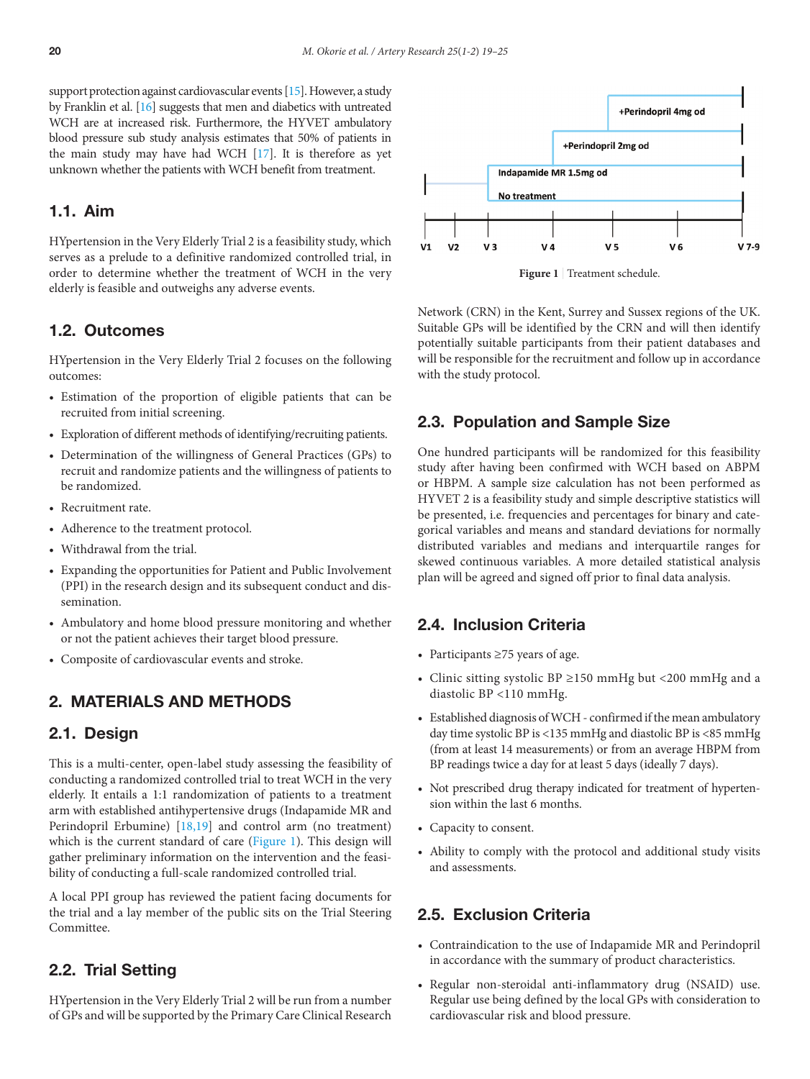support protection against cardiovascular events [15]. However, a study by Franklin et al. [16] suggests that men and diabetics with untreated WCH are at increased risk. Furthermore, the HYVET ambulatory blood pressure sub study analysis estimates that 50% of patients in the main study may have had WCH [17]. It is therefore as yet unknown whether the patients with WCH benefit from treatment.

#### 1.1. Aim

HYpertension in the Very Elderly Trial 2 is a feasibility study, which serves as a prelude to a definitive randomized controlled trial, in order to determine whether the treatment of WCH in the very elderly is feasible and outweighs any adverse events.

#### 1.2. Outcomes

HYpertension in the Very Elderly Trial 2 focuses on the following outcomes:

- Estimation of the proportion of eligible patients that can be recruited from initial screening.
- Exploration of different methods of identifying/recruiting patients.
- Determination of the willingness of General Practices (GPs) to recruit and randomize patients and the willingness of patients to be randomized.
- Recruitment rate.
- Adherence to the treatment protocol.
- Withdrawal from the trial.
- Expanding the opportunities for Patient and Public Involvement (PPI) in the research design and its subsequent conduct and dissemination.
- Ambulatory and home blood pressure monitoring and whether or not the patient achieves their target blood pressure.
- Composite of cardiovascular events and stroke.

## 2. MATERIALS AND METHODS

## 2.1. Design

This is a multi-center, open-label study assessing the feasibility of conducting a randomized controlled trial to treat WCH in the very elderly. It entails a 1:1 randomization of patients to a treatment arm with established antihypertensive drugs (Indapamide MR and Perindopril Erbumine) [18,19] and control arm (no treatment) which is the current standard of care (Figure 1). This design will gather preliminary information on the intervention and the feasibility of conducting a full-scale randomized controlled trial.

A local PPI group has reviewed the patient facing documents for the trial and a lay member of the public sits on the Trial Steering Committee.

## 2.2. Trial Setting

HYpertension in the Very Elderly Trial 2 will be run from a number of GPs and will be supported by the Primary Care Clinical Research



**Figure 1** | Treatment schedule.

Network (CRN) in the Kent, Surrey and Sussex regions of the UK. Suitable GPs will be identified by the CRN and will then identify potentially suitable participants from their patient databases and will be responsible for the recruitment and follow up in accordance with the study protocol.

### 2.3. Population and Sample Size

One hundred participants will be randomized for this feasibility study after having been confirmed with WCH based on ABPM or HBPM. A sample size calculation has not been performed as HYVET 2 is a feasibility study and simple descriptive statistics will be presented, i.e. frequencies and percentages for binary and categorical variables and means and standard deviations for normally distributed variables and medians and interquartile ranges for skewed continuous variables. A more detailed statistical analysis plan will be agreed and signed off prior to final data analysis.

## 2.4. Inclusion Criteria

- Participants ≥75 years of age.
- Clinic sitting systolic BP ≥150 mmHg but <200 mmHg and a diastolic BP <110 mmHg.
- Established diagnosis of WCH confirmed if the mean ambulatory day time systolic BP is <135 mmHg and diastolic BP is <85 mmHg (from at least 14 measurements) or from an average HBPM from BP readings twice a day for at least 5 days (ideally 7 days).
- Not prescribed drug therapy indicated for treatment of hypertension within the last 6 months.
- Capacity to consent.
- Ability to comply with the protocol and additional study visits and assessments.

## 2.5. Exclusion Criteria

- Contraindication to the use of Indapamide MR and Perindopril in accordance with the summary of product characteristics.
- Regular non-steroidal anti-inflammatory drug (NSAID) use. Regular use being defined by the local GPs with consideration to cardiovascular risk and blood pressure.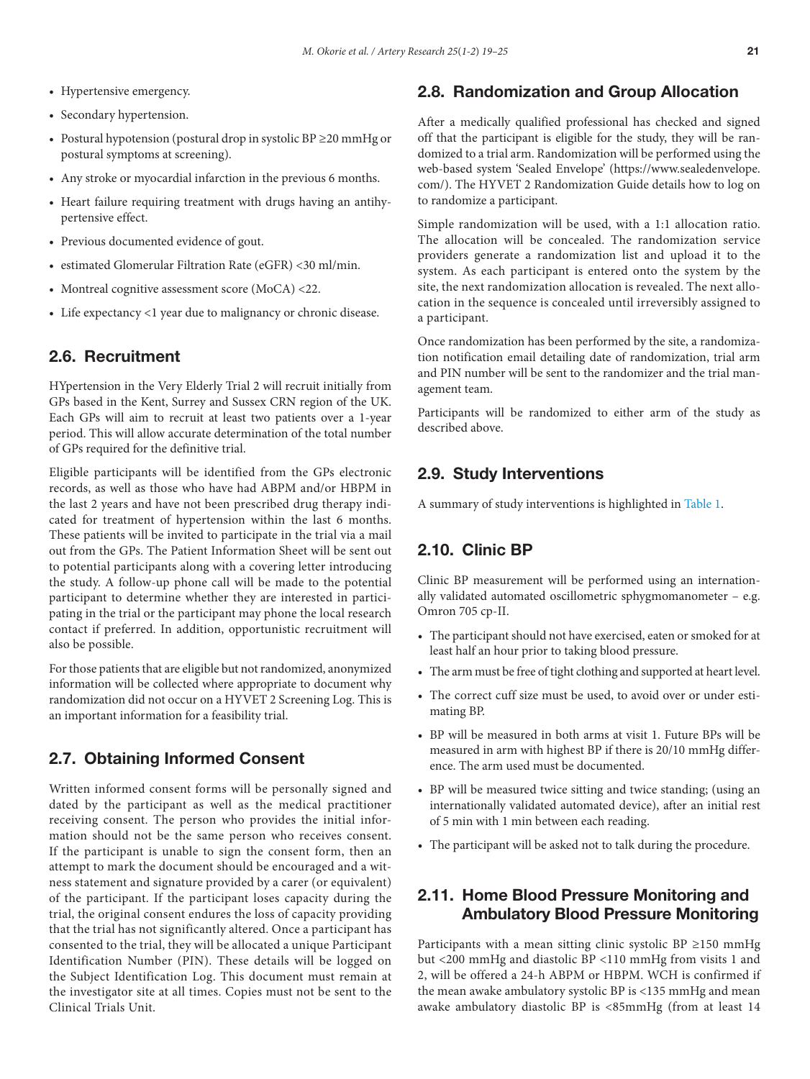- Hypertensive emergency.
- Secondary hypertension.
- Postural hypotension (postural drop in systolic BP ≥20 mmHg or postural symptoms at screening).
- Any stroke or myocardial infarction in the previous 6 months.
- Heart failure requiring treatment with drugs having an antihypertensive effect.
- Previous documented evidence of gout.
- estimated Glomerular Filtration Rate (eGFR) <30 ml/min.
- Montreal cognitive assessment score (MoCA) <22.
- Life expectancy <1 year due to malignancy or chronic disease.

## 2.6. Recruitment

HYpertension in the Very Elderly Trial 2 will recruit initially from GPs based in the Kent, Surrey and Sussex CRN region of the UK. Each GPs will aim to recruit at least two patients over a 1-year period. This will allow accurate determination of the total number of GPs required for the definitive trial.

Eligible participants will be identified from the GPs electronic records, as well as those who have had ABPM and/or HBPM in the last 2 years and have not been prescribed drug therapy indicated for treatment of hypertension within the last 6 months. These patients will be invited to participate in the trial via a mail out from the GPs. The Patient Information Sheet will be sent out to potential participants along with a covering letter introducing the study. A follow-up phone call will be made to the potential participant to determine whether they are interested in participating in the trial or the participant may phone the local research contact if preferred. In addition, opportunistic recruitment will also be possible.

For those patients that are eligible but not randomized, anonymized information will be collected where appropriate to document why randomization did not occur on a HYVET 2 Screening Log. This is an important information for a feasibility trial.

## 2.7. Obtaining Informed Consent

Written informed consent forms will be personally signed and dated by the participant as well as the medical practitioner receiving consent. The person who provides the initial information should not be the same person who receives consent. If the participant is unable to sign the consent form, then an attempt to mark the document should be encouraged and a witness statement and signature provided by a carer (or equivalent) of the participant. If the participant loses capacity during the trial, the original consent endures the loss of capacity providing that the trial has not significantly altered. Once a participant has consented to the trial, they will be allocated a unique Participant Identification Number (PIN). These details will be logged on the Subject Identification Log. This document must remain at the investigator site at all times. Copies must not be sent to the Clinical Trials Unit.

#### 2.8. Randomization and Group Allocation

After a medically qualified professional has checked and signed off that the participant is eligible for the study, they will be randomized to a trial arm. Randomization will be performed using the web-based system 'Sealed Envelope' (https://www.sealedenvelope. com/). The HYVET 2 Randomization Guide details how to log on to randomize a participant.

Simple randomization will be used, with a 1:1 allocation ratio. The allocation will be concealed. The randomization service providers generate a randomization list and upload it to the system. As each participant is entered onto the system by the site, the next randomization allocation is revealed. The next allocation in the sequence is concealed until irreversibly assigned to a participant.

Once randomization has been performed by the site, a randomization notification email detailing date of randomization, trial arm and PIN number will be sent to the randomizer and the trial management team.

Participants will be randomized to either arm of the study as described above.

#### 2.9. Study Interventions

A summary of study interventions is highlighted in [Table 1](#page-3-0).

## 2.10. Clinic BP

Clinic BP measurement will be performed using an internationally validated automated oscillometric sphygmomanometer – e.g. Omron 705 cp-II.

- The participant should not have exercised, eaten or smoked for at least half an hour prior to taking blood pressure.
- The arm must be free of tight clothing and supported at heart level.
- The correct cuff size must be used, to avoid over or under estimating BP.
- BP will be measured in both arms at visit 1. Future BPs will be measured in arm with highest BP if there is 20/10 mmHg difference. The arm used must be documented.
- BP will be measured twice sitting and twice standing; (using an internationally validated automated device), after an initial rest of 5 min with 1 min between each reading.
- The participant will be asked not to talk during the procedure.

## 2.11. Home Blood Pressure Monitoring and Ambulatory Blood Pressure Monitoring

Participants with a mean sitting clinic systolic BP ≥150 mmHg but <200 mmHg and diastolic BP <110 mmHg from visits 1 and 2, will be offered a 24-h ABPM or HBPM. WCH is confirmed if the mean awake ambulatory systolic BP is <135 mmHg and mean awake ambulatory diastolic BP is <85mmHg (from at least 14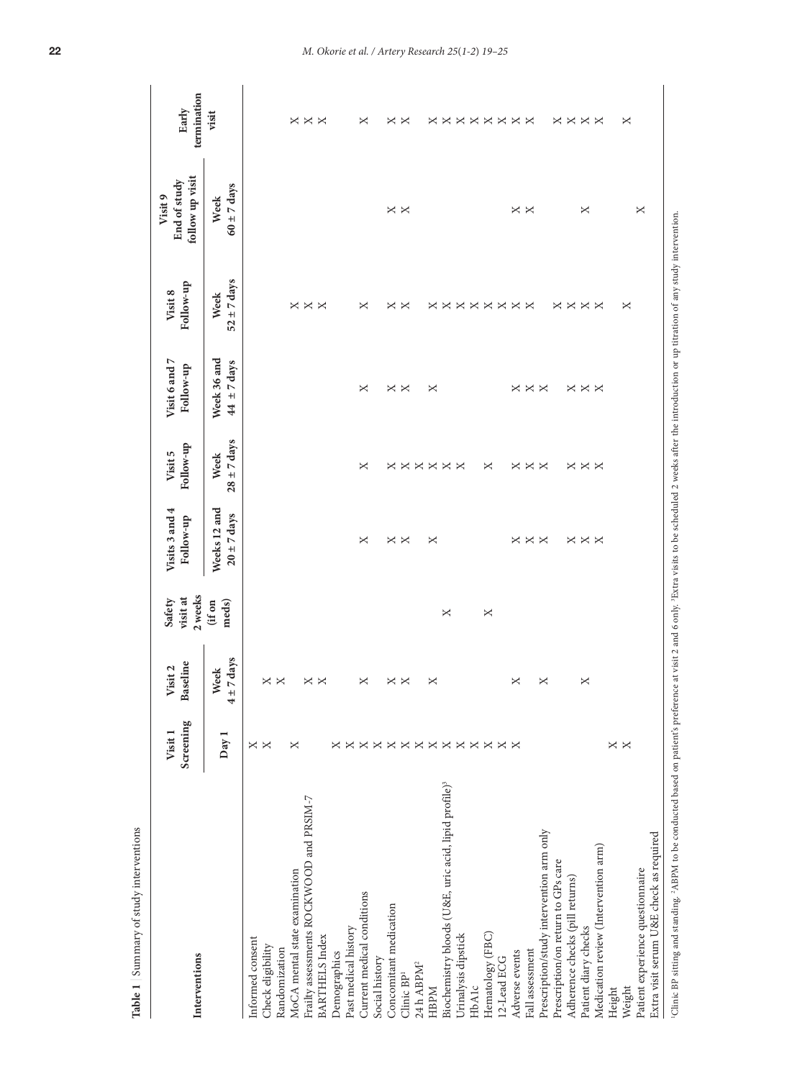<span id="page-3-0"></span>

| Interventions                                                                                                                                                                                                       | Screening<br>Visit 1       | Baseline<br>Visit 2       | 2 weeks<br>visit at<br>Safety | Visits 3 and 4<br>Follow-up     | Follow-up<br>Visit 5    | Visit 6 and 7<br>Follow-up     | Follow-up<br>Visit 8    | follow up visit<br>End of study<br>Visit 9 | termination<br>Early |
|---------------------------------------------------------------------------------------------------------------------------------------------------------------------------------------------------------------------|----------------------------|---------------------------|-------------------------------|---------------------------------|-------------------------|--------------------------------|-------------------------|--------------------------------------------|----------------------|
|                                                                                                                                                                                                                     | Day:                       | $±7 \, days$<br>Week<br>4 | (if on<br>meds)               | Weeks 12 and<br>$20 \pm 7$ days | $28 \pm 7$ days<br>Week | Week 36 and<br>$44 \pm 7$ days | $52 \pm 7$ days<br>Week | $60 \pm 7$ days<br>Week                    | visit                |
| Informed consent                                                                                                                                                                                                    |                            |                           |                               |                                 |                         |                                |                         |                                            |                      |
| Check eligibility                                                                                                                                                                                                   | $\times$ $\times$          | ×                         |                               |                                 |                         |                                |                         |                                            |                      |
| Randomization                                                                                                                                                                                                       |                            | $\times$                  |                               |                                 |                         |                                |                         |                                            |                      |
| MoCA mental state examination                                                                                                                                                                                       | ×                          |                           |                               |                                 |                         |                                | ×                       |                                            | ×                    |
| Frailty assessments ROCKWOOD and PRSIM-7                                                                                                                                                                            |                            | ×                         |                               |                                 |                         |                                | $\times\times$          |                                            | $\times \times$      |
| <b>BARTHELS</b> Index                                                                                                                                                                                               |                            | ×                         |                               |                                 |                         |                                |                         |                                            |                      |
| Demographics                                                                                                                                                                                                        |                            |                           |                               |                                 |                         |                                |                         |                                            |                      |
| Past medical history                                                                                                                                                                                                | ×                          |                           |                               |                                 |                         |                                |                         |                                            |                      |
| Current medical conditions                                                                                                                                                                                          | ×                          | ×                         |                               | ×                               | ×                       | ×                              | ×                       |                                            | ×                    |
| Social history                                                                                                                                                                                                      | ×                          |                           |                               |                                 |                         |                                |                         |                                            |                      |
| Concomitant medication                                                                                                                                                                                              | ×                          | ×                         |                               |                                 | ×                       |                                |                         |                                            |                      |
| Clinic BP <sup>1</sup>                                                                                                                                                                                              |                            | ×                         |                               | $\times$ $\times$               |                         | $\times$ $\times$              | $\times$ $\times$       | $\times$ $\times$                          | $\times$ $\times$    |
| 24 h ABPM <sup>2</sup>                                                                                                                                                                                              | $\times \times \times$     |                           |                               |                                 | $\times \times \times$  |                                |                         |                                            |                      |
| <b>HBPM</b>                                                                                                                                                                                                         |                            | ×                         |                               | ×                               |                         | ×                              | ×                       |                                            | ×                    |
| Biochemistry bloods (U&E, uric acid, lipid profile) <sup>3</sup>                                                                                                                                                    | $\times$                   |                           | X                             |                                 | $\times$                |                                | ×                       |                                            | ×                    |
| Urinalysis dipstick                                                                                                                                                                                                 | $\times$                   |                           |                               |                                 | $\times$                |                                | $\times$                |                                            | $\times$             |
| HbAlc                                                                                                                                                                                                               |                            |                           |                               |                                 |                         |                                | $\times$                |                                            |                      |
| Hematology (FBC)                                                                                                                                                                                                    |                            |                           | ×                             |                                 | ×                       |                                |                         |                                            |                      |
| 12-Lead ECG                                                                                                                                                                                                         | $\times\times\times\times$ |                           |                               |                                 |                         |                                | <b>xxxx</b>             |                                            | <b>xxxxx</b>         |
| Adverse events                                                                                                                                                                                                      |                            | ×                         |                               | ×                               | ×                       |                                |                         | $\times$ $\times$                          |                      |
| Fall assessment                                                                                                                                                                                                     |                            |                           |                               | $\times$ $\times$               | $\times$ $\times$       | $\times\times\times$           |                         |                                            |                      |
| Prescription/study intervention arm only                                                                                                                                                                            |                            | ×                         |                               |                                 |                         |                                |                         |                                            |                      |
| Prescription/on return to GPs care                                                                                                                                                                                  |                            |                           |                               |                                 |                         |                                |                         |                                            |                      |
| Adherence checks (pill returns)                                                                                                                                                                                     |                            |                           |                               |                                 |                         |                                |                         |                                            |                      |
| Patient diary checks                                                                                                                                                                                                |                            | ×                         |                               | <b>xxx</b>                      | $\times \times \times$  | $\times \times \times$         | <b>xxxx</b>             | ×                                          | <b>xxxx</b>          |
| Medication review (Intervention arm)                                                                                                                                                                                |                            |                           |                               |                                 |                         |                                |                         |                                            |                      |
| Height                                                                                                                                                                                                              | ×                          |                           |                               |                                 |                         |                                |                         |                                            |                      |
| Weight                                                                                                                                                                                                              | $\times$                   |                           |                               |                                 |                         |                                | ×                       |                                            | ×                    |
| Extra visit serum U&E check as required<br>Patient experience questionnaire                                                                                                                                         |                            |                           |                               |                                 |                         |                                |                         | $\times$                                   |                      |
| 'Clinic BP sitting and standing. 'ABPM to be conducted based on patient's preference at visit 2 and 6 only. 'Extra visits to be scheduled 2 weeks after the introduction or up titration of any study intervention. |                            |                           |                               |                                 |                         |                                |                         |                                            |                      |

Table 1 | Summary of study interventions **Table 1** | Summary of study interventions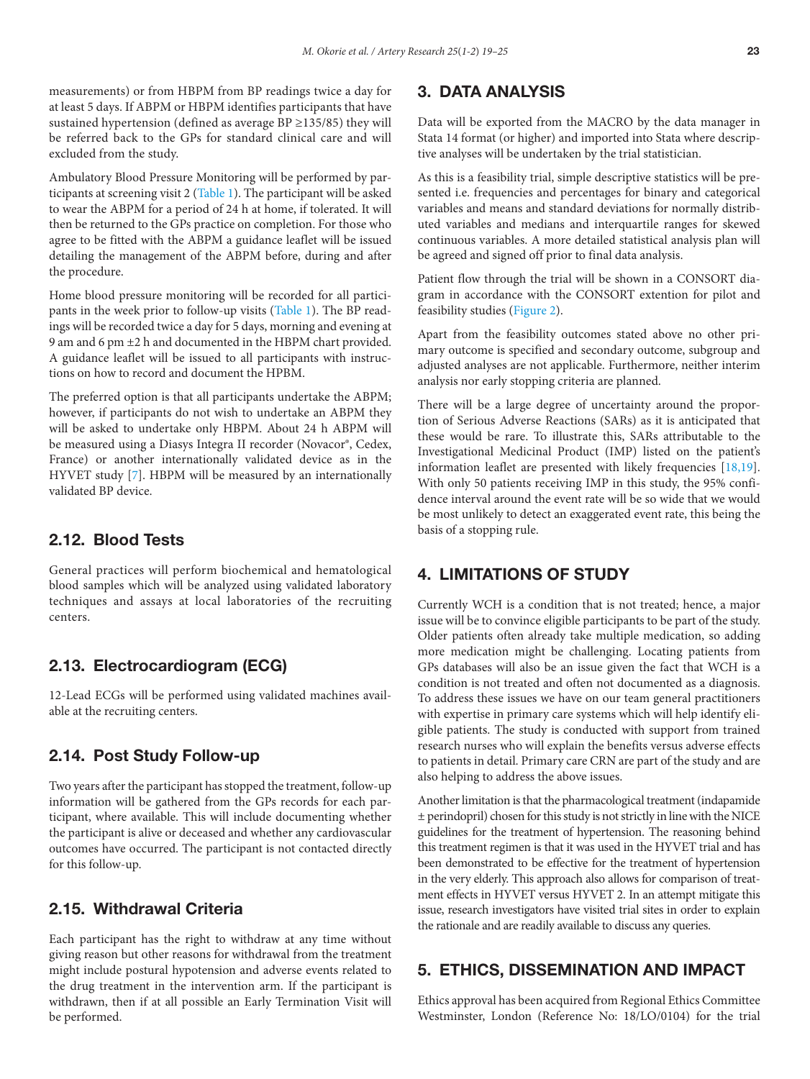measurements) or from HBPM from BP readings twice a day for at least 5 days. If ABPM or HBPM identifies participants that have sustained hypertension (defined as average BP  $\geq$ 135/85) they will be referred back to the GPs for standard clinical care and will excluded from the study.

Ambulatory Blood Pressure Monitoring will be performed by participants at screening visit 2 [\(Table 1\)](#page-3-0). The participant will be asked to wear the ABPM for a period of 24 h at home, if tolerated. It will then be returned to the GPs practice on completion. For those who agree to be fitted with the ABPM a guidance leaflet will be issued detailing the management of the ABPM before, during and after the procedure.

Home blood pressure monitoring will be recorded for all participants in the week prior to follow-up visits ([Table 1](#page-3-0)). The BP readings will be recorded twice a day for 5 days, morning and evening at 9 am and 6 pm ±2 h and documented in the HBPM chart provided. A guidance leaflet will be issued to all participants with instructions on how to record and document the HPBM.

The preferred option is that all participants undertake the ABPM; however, if participants do not wish to undertake an ABPM they will be asked to undertake only HBPM. About 24 h ABPM will be measured using a Diasys Integra II recorder (Novacor®, Cedex, France) or another internationally validated device as in the HYVET study [[7\]](#page-5-0). HBPM will be measured by an internationally validated BP device.

## 2.12. Blood Tests

General practices will perform biochemical and hematological blood samples which will be analyzed using validated laboratory techniques and assays at local laboratories of the recruiting centers.

## 2.13. Electrocardiogram (ECG)

12-Lead ECGs will be performed using validated machines available at the recruiting centers.

## 2.14. Post Study Follow-up

Two years after the participant has stopped the treatment, follow-up information will be gathered from the GPs records for each participant, where available. This will include documenting whether the participant is alive or deceased and whether any cardiovascular outcomes have occurred. The participant is not contacted directly for this follow-up.

#### 2.15. Withdrawal Criteria

Each participant has the right to withdraw at any time without giving reason but other reasons for withdrawal from the treatment might include postural hypotension and adverse events related to the drug treatment in the intervention arm. If the participant is withdrawn, then if at all possible an Early Termination Visit will be performed.

## 3. DATA ANALYSIS

Data will be exported from the MACRO by the data manager in Stata 14 format (or higher) and imported into Stata where descriptive analyses will be undertaken by the trial statistician.

As this is a feasibility trial, simple descriptive statistics will be presented i.e. frequencies and percentages for binary and categorical variables and means and standard deviations for normally distributed variables and medians and interquartile ranges for skewed continuous variables. A more detailed statistical analysis plan will be agreed and signed off prior to final data analysis.

Patient flow through the trial will be shown in a CONSORT diagram in accordance with the CONSORT extention for pilot and feasibility studies (Figure 2).

Apart from the feasibility outcomes stated above no other primary outcome is specified and secondary outcome, subgroup and adjusted analyses are not applicable. Furthermore, neither interim analysis nor early stopping criteria are planned.

There will be a large degree of uncertainty around the proportion of Serious Adverse Reactions (SARs) as it is anticipated that these would be rare. To illustrate this, SARs attributable to the Investigational Medicinal Product (IMP) listed on the patient's information leaflet are presented with likely frequencies [18,19]. With only 50 patients receiving IMP in this study, the 95% confidence interval around the event rate will be so wide that we would be most unlikely to detect an exaggerated event rate, this being the basis of a stopping rule.

### 4. LIMITATIONS OF STUDY

Currently WCH is a condition that is not treated; hence, a major issue will be to convince eligible participants to be part of the study. Older patients often already take multiple medication, so adding more medication might be challenging. Locating patients from GPs databases will also be an issue given the fact that WCH is a condition is not treated and often not documented as a diagnosis. To address these issues we have on our team general practitioners with expertise in primary care systems which will help identify eligible patients. The study is conducted with support from trained research nurses who will explain the benefits versus adverse effects to patients in detail. Primary care CRN are part of the study and are also helping to address the above issues.

Another limitation is that the pharmacological treatment (indapamide ± perindopril) chosen for this study is not strictly in line with the NICE guidelines for the treatment of hypertension. The reasoning behind this treatment regimen is that it was used in the HYVET trial and has been demonstrated to be effective for the treatment of hypertension in the very elderly. This approach also allows for comparison of treatment effects in HYVET versus HYVET 2. In an attempt mitigate this issue, research investigators have visited trial sites in order to explain the rationale and are readily available to discuss any queries.

## 5. ETHICS, DISSEMINATION AND IMPACT

Ethics approval has been acquired from Regional Ethics Committee Westminster, London (Reference No: 18/LO/0104) for the trial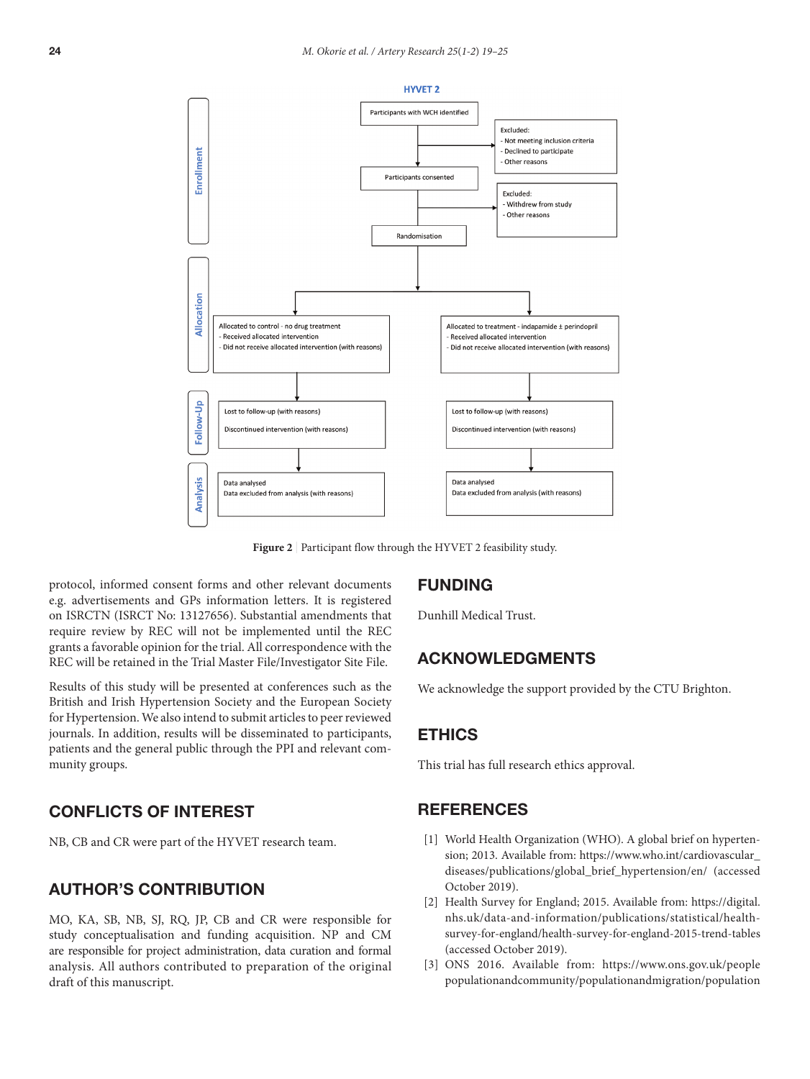<span id="page-5-0"></span>

Figure 2 | Participant flow through the HYVET 2 feasibility study.

protocol, informed consent forms and other relevant documents e.g. advertisements and GPs information letters. It is registered on ISRCTN (ISRCT No: 13127656). Substantial amendments that require review by REC will not be implemented until the REC grants a favorable opinion for the trial. All correspondence with the REC will be retained in the Trial Master File/Investigator Site File.

Results of this study will be presented at conferences such as the British and Irish Hypertension Society and the European Society for Hypertension. We also intend to submit articles to peer reviewed journals. In addition, results will be disseminated to participants, patients and the general public through the PPI and relevant community groups.

## CONFLICTS OF INTEREST

NB, CB and CR were part of the HYVET research team.

## AUTHOR'S CONTRIBUTION

MO, KA, SB, NB, SJ, RQ, JP, CB and CR were responsible for study conceptualisation and funding acquisition. NP and CM are responsible for project administration, data curation and formal analysis. All authors contributed to preparation of the original draft of this manuscript.

## FUNDING

Dunhill Medical Trust.

## ACKNOWLEDGMENTS

We acknowledge the support provided by the CTU Brighton.

#### ETHICS

This trial has full research ethics approval.

## **REFERENCES**

- [1] World Health Organization (WHO). A global brief on hypertension; 2013. Available from: https://www.who.int/cardiovascular\_ diseases/publications/global\_brief\_hypertension/en/ (accessed October 2019).
- [2] Health Survey for England; 2015. Available from: https://digital. nhs.uk/data-and-information/publications/statistical/healthsurvey-for-england/health-survey-for-england-2015-trend-tables (accessed October 2019).
- [3] ONS 2016. Available from: [https://www.ons.gov.uk/people](https://www.ons.gov.uk/people%0Apopulationandcommunity/populationandmigration/population%0Aprojections/compendium/subnationalpopulationprojectionssupplementaryanalysis/2014basedprojections/howthepopulationofenglandisprojectedtoage%20%28accessed%20November%202019%29) populationandcommunity/populationandmigration/population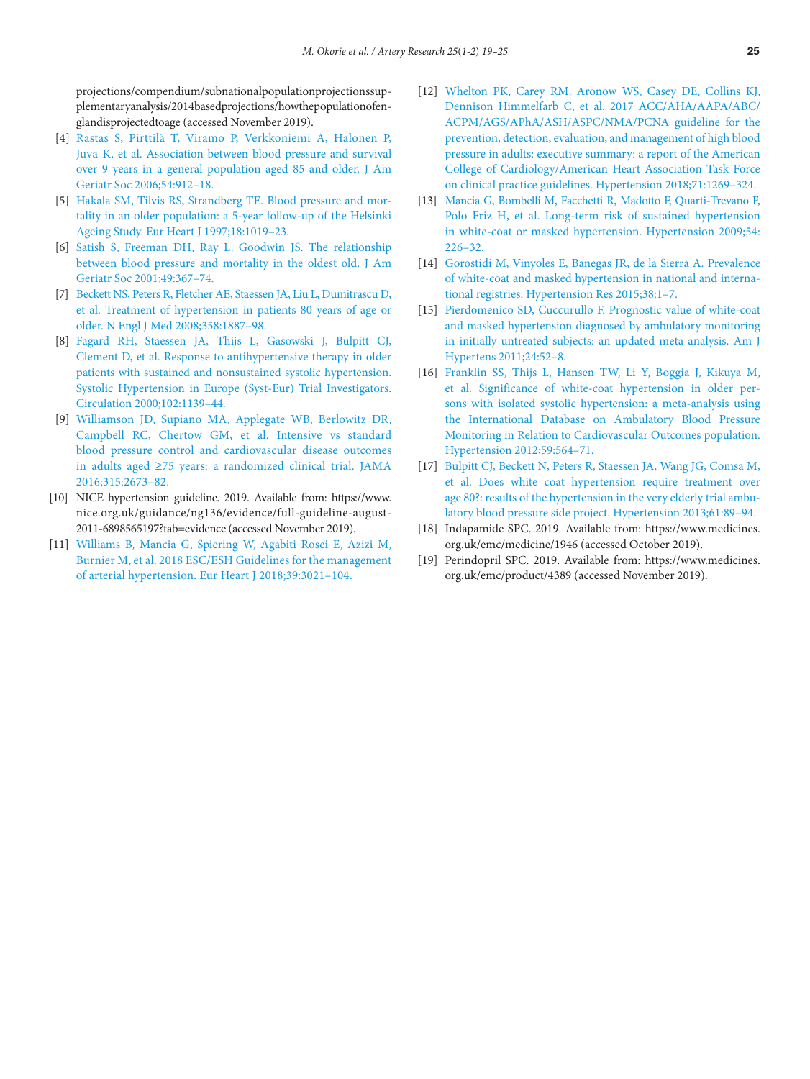<span id="page-6-0"></span>projections/compendium/subnationalpopulationprojectionssupplementaryanalysis/2014basedprojections/howthepopulationofenglandisprojectedtoage (accessed November 2019).

- [4] [Rastas S, Pirttilä T, Viramo P, Verkkoniemi A, Halonen P,](https://doi.org/10.1111/j.1532-5415.2006.00742.x)  [Juva K, et al. Association between blood pressure and survival](https://doi.org/10.1111/j.1532-5415.2006.00742.x) [over 9 years in a general population aged 85 and older. J Am](https://doi.org/10.1111/j.1532-5415.2006.00742.x) [Geriatr Soc 2006;54:912–18.](https://doi.org/10.1111/j.1532-5415.2006.00742.x)
- [5] [Hakala SM, Tilvis RS, Strandberg TE. Blood pressure and mor](https://doi.org/10.1093/oxfordjournals.eurheartj.a015360)[tality in an older population: a 5-year follow-up of the Helsinki](https://doi.org/10.1093/oxfordjournals.eurheartj.a015360)  [Ageing Study. Eur Heart J 1997;18:1019–23.](https://doi.org/10.1093/oxfordjournals.eurheartj.a015360)
- [6] [Satish S, Freeman DH, Ray L, Goodwin JS. The relationship](https://doi.org/10.1046/j.1532-5415.2001.49078.x)  [between blood pressure and mortality in the oldest old. J Am](https://doi.org/10.1046/j.1532-5415.2001.49078.x)  [Geriatr Soc 2001;49:367–74.](https://doi.org/10.1046/j.1532-5415.2001.49078.x)
- [7] [Beckett NS, Peters R, Fletcher AE, Staessen JA, Liu L, Dumitrascu D,](https://doi.org/10.1056/NEJMoa0801369)  [et al. Treatment of hypertension in patients 80 years of age or](https://doi.org/10.1056/NEJMoa0801369)  [older. N Engl J Med 2008;358:1887–98.](https://doi.org/10.1056/NEJMoa0801369)
- [8] [Fagard RH, Staessen JA, Thijs L, Gasowski J, Bulpitt CJ,](https://doi.org/10.1161/01.cir.102.https://doi.org/10.1139)  [Clement D, et al. Response to antihypertensive therapy in older](https://doi.org/10.1161/01.cir.102.https://doi.org/10.1139) [patients with sustained and nonsustained systolic hypertension.](https://doi.org/10.1161/01.cir.102.https://doi.org/10.1139)  [Systolic Hypertension in Europe \(Syst-Eur\) Trial Investigators.](https://doi.org/10.1161/01.cir.102.https://doi.org/10.1139)  [Circulation 2000;102:1139–44.](https://doi.org/10.1161/01.cir.102.https://doi.org/10.1139)
- [9] [Williamson JD, Supiano MA, Applegate WB, Berlowitz DR,](https://doi.org/10.1001/jama.2016.7050) [Campbell RC, Chertow GM, et al. Intensive vs standard](https://doi.org/10.1001/jama.2016.7050) [blood pressure control and cardiovascular disease outcomes](https://doi.org/10.1001/jama.2016.7050) in adults aged ≥[75 years: a randomized clinical trial. JAMA](https://doi.org/10.1001/jama.2016.7050)  [2016;315:2673–82.](https://doi.org/10.1001/jama.2016.7050)
- [10] NICE hypertension guideline. 2019. Available from: [https://www.](https://www.%0Anice.org.uk/guidance/ng136/evidence/full-guideline-august-%0A2011-6898565197%3Ftab%3Devidence%20%28accessed%20November%202019%29) nice.org.uk/guidance/ng136/evidence/full-guideline-august-2011-6898565197?tab=evidence (accessed November 2019).
- [11] [Williams B, Mancia G, Spiering W, Agabiti Rosei E, Azizi M,](https://doi.org/10.1093/eurheartj/ehy339)  [Burnier M, et al. 2018 ESC/ESH Guidelines for the management](https://doi.org/10.1093/eurheartj/ehy339)  [of arterial hypertension. Eur Heart J 2018;39:3021–104.](https://doi.org/10.1093/eurheartj/ehy339)
- [12] [Whelton PK, Carey RM, Aronow WS, Casey DE, Collins KJ,](https://doi.org/10.1161/HYP.0000000000000066) [Dennison Himmelfarb C, et al. 2017 ACC/AHA/AAPA/ABC/](https://doi.org/10.1161/HYP.0000000000000066) [ACPM/AGS/APhA/ASH/ASPC/NMA/PCNA guideline for the](https://doi.org/10.1161/HYP.0000000000000066) [prevention, detection, evaluation, and management of high blood](https://doi.org/10.1161/HYP.0000000000000066) [pressure in adults: executive summary: a report of the American](https://doi.org/10.1161/HYP.0000000000000066) [College of Cardiology/American Heart Association Task Force](https://doi.org/10.1161/HYP.0000000000000066) [on clinical practice guidelines. Hypertension 2018;71:1269–324.](https://doi.org/10.1161/HYP.0000000000000066)
- [13] [Mancia G, Bombelli M, Facchetti R, Madotto F, Quarti-Trevano F,](https://doi.org/10.1161/HYPERTENSIONAHA.109.129882) [Polo Friz H, et al. Long-term risk of sustained hypertension](https://doi.org/10.1161/HYPERTENSIONAHA.109.129882) [in white-coat or masked hypertension. Hypertension 2009;54:](https://doi.org/10.1161/HYPERTENSIONAHA.109.129882) [226–32.](https://doi.org/10.1161/HYPERTENSIONAHA.109.129882)
- [14] [Gorostidi M, Vinyoles E, Banegas JR, de la Sierra A. Prevalence](https://doi.org/10.1038/hr.2014.149) [of white-coat and masked hypertension in national and interna](https://doi.org/10.1038/hr.2014.149)[tional registries. Hypertension Res 2015;38:1–7.](https://doi.org/10.1038/hr.2014.149)
- [15] [Pierdomenico SD, Cuccurullo F. Prognostic value of white-coat](https://doi.org/10.1038/ajh.2010.203) [and masked hypertension diagnosed by ambulatory monitoring](https://doi.org/10.1038/ajh.2010.203) [in initially untreated subjects: an updated meta analysis. Am J](https://doi.org/10.1038/ajh.2010.203) [Hypertens 2011;24:52–8.](https://doi.org/10.1038/ajh.2010.203)
- [16] [Franklin SS, Thijs L, Hansen TW, Li Y, Boggia J, Kikuya M,](https://doi.org/10.1161/HYPERTENSIONAHA.111.180653) [et al. Significance of white-coat hypertension in older per](https://doi.org/10.1161/HYPERTENSIONAHA.111.180653)[sons with isolated systolic hypertension: a meta-analysis using](https://doi.org/10.1161/HYPERTENSIONAHA.111.180653) [the International Database on Ambulatory Blood Pressure](https://doi.org/10.1161/HYPERTENSIONAHA.111.180653) [Monitoring in Relation to Cardiovascular Outcomes population.](https://doi.org/10.1161/HYPERTENSIONAHA.111.180653) [Hypertension 2012;59:564–71.](https://doi.org/10.1161/HYPERTENSIONAHA.111.180653)
- [17] [Bulpitt CJ, Beckett N, Peters R, Staessen JA, Wang JG, Comsa M,](https://doi.org/10.1161/HYPERTENSIONAHA.112.191791) [et al. Does white coat hypertension require treatment over](https://doi.org/10.1161/HYPERTENSIONAHA.112.191791) [age 80?: results of the hypertension in the very elderly trial ambu](https://doi.org/10.1161/HYPERTENSIONAHA.112.191791)[latory blood pressure side project. Hypertension 2013;61:89–94.](https://doi.org/10.1161/HYPERTENSIONAHA.112.191791)
- [18] Indapamide SPC. 2019. Available from: [https://www.medicines.](https://www.medicines.org.uk/emc/medicine/1946%20%28accessed%20October%202019%29.) [org.uk/emc/medicine/1946 \(accessed October 2019\).](https://www.medicines.org.uk/emc/medicine/1946%20%28accessed%20October%202019%29.)
- [19] Perindopril SPC. 2019. Available from: [https://www.medicines.](https://www.medicines.org.uk/emc/product/4389%20%28accessed%20November%202019%29) [org.uk/emc/product/4389 \(accessed November 2019\).](https://www.medicines.org.uk/emc/product/4389%20%28accessed%20November%202019%29)